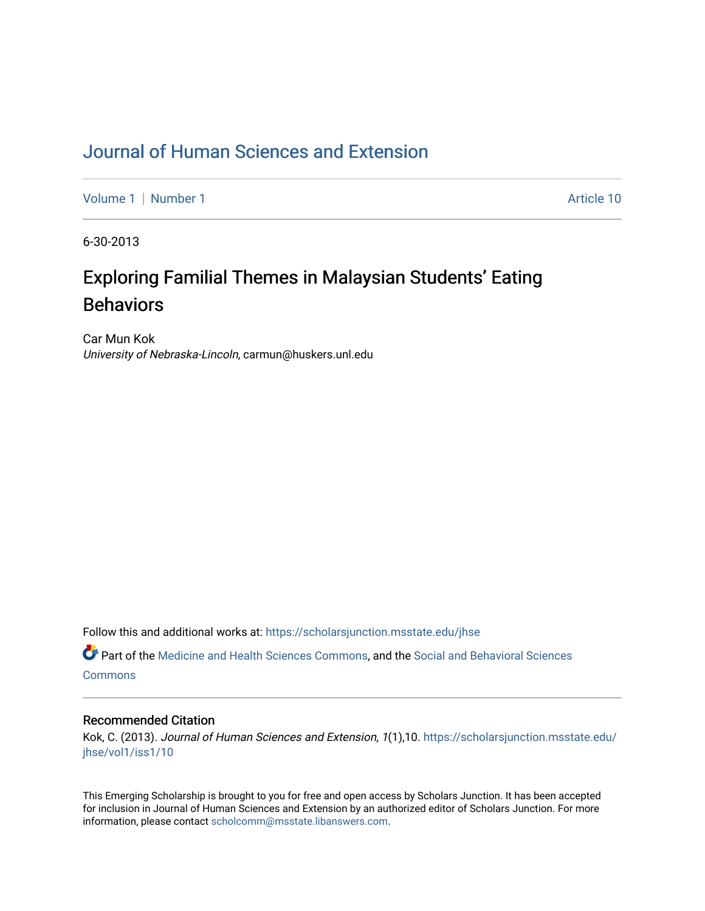## [Journal of Human Sciences and Extension](https://scholarsjunction.msstate.edu/jhse)

[Volume 1](https://scholarsjunction.msstate.edu/jhse/vol1) | [Number 1](https://scholarsjunction.msstate.edu/jhse/vol1/iss1) Article 10

6-30-2013

# Exploring Familial Themes in Malaysian Students' Eating **Behaviors**

Car Mun Kok University of Nebraska-Lincoln, carmun@huskers.unl.edu

Follow this and additional works at: [https://scholarsjunction.msstate.edu/jhse](https://scholarsjunction.msstate.edu/jhse?utm_source=scholarsjunction.msstate.edu%2Fjhse%2Fvol1%2Fiss1%2F10&utm_medium=PDF&utm_campaign=PDFCoverPages)

Part of the [Medicine and Health Sciences Commons,](http://network.bepress.com/hgg/discipline/648?utm_source=scholarsjunction.msstate.edu%2Fjhse%2Fvol1%2Fiss1%2F10&utm_medium=PDF&utm_campaign=PDFCoverPages) and the [Social and Behavioral Sciences](http://network.bepress.com/hgg/discipline/316?utm_source=scholarsjunction.msstate.edu%2Fjhse%2Fvol1%2Fiss1%2F10&utm_medium=PDF&utm_campaign=PDFCoverPages) **[Commons](http://network.bepress.com/hgg/discipline/316?utm_source=scholarsjunction.msstate.edu%2Fjhse%2Fvol1%2Fiss1%2F10&utm_medium=PDF&utm_campaign=PDFCoverPages)** 

#### Recommended Citation

Kok, C. (2013). Journal of Human Sciences and Extension, 1(1),10. [https://scholarsjunction.msstate.edu/](https://scholarsjunction.msstate.edu/jhse/vol1/iss1/10?utm_source=scholarsjunction.msstate.edu%2Fjhse%2Fvol1%2Fiss1%2F10&utm_medium=PDF&utm_campaign=PDFCoverPages) [jhse/vol1/iss1/10](https://scholarsjunction.msstate.edu/jhse/vol1/iss1/10?utm_source=scholarsjunction.msstate.edu%2Fjhse%2Fvol1%2Fiss1%2F10&utm_medium=PDF&utm_campaign=PDFCoverPages) 

This Emerging Scholarship is brought to you for free and open access by Scholars Junction. It has been accepted for inclusion in Journal of Human Sciences and Extension by an authorized editor of Scholars Junction. For more information, please contact [scholcomm@msstate.libanswers.com](mailto:scholcomm@msstate.libanswers.com).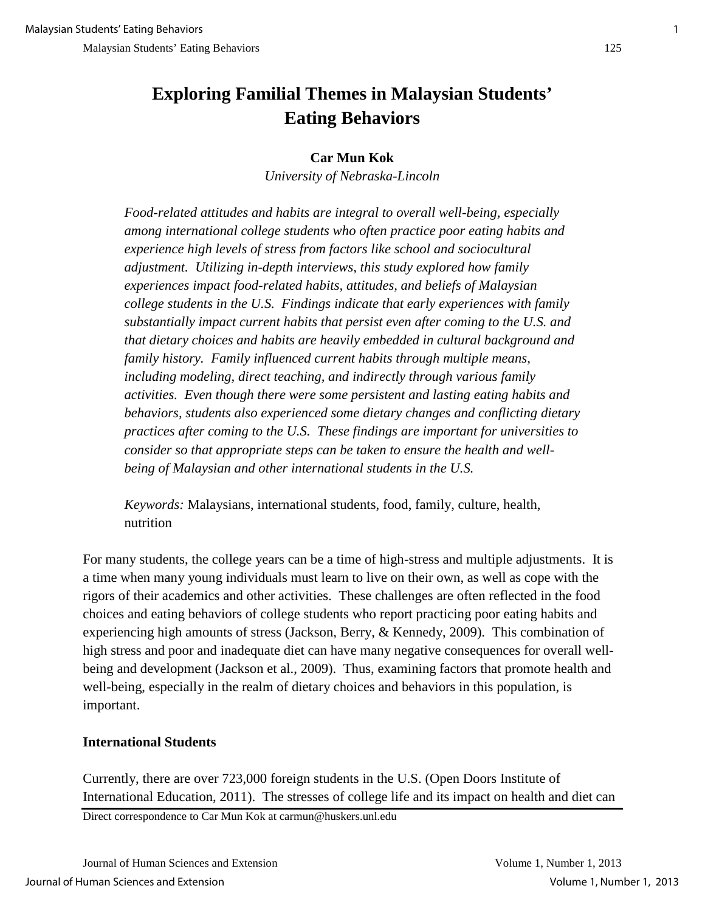## **Exploring Familial Themes in Malaysian Students' Eating Behaviors**

## **Car Mun Kok**

*University of Nebraska-Lincoln*

*Food-related attitudes and habits are integral to overall well-being, especially among international college students who often practice poor eating habits and experience high levels of stress from factors like school and sociocultural adjustment. Utilizing in-depth interviews, this study explored how family experiences impact food-related habits, attitudes, and beliefs of Malaysian college students in the U.S. Findings indicate that early experiences with family substantially impact current habits that persist even after coming to the U.S. and that dietary choices and habits are heavily embedded in cultural background and family history. Family influenced current habits through multiple means, including modeling, direct teaching, and indirectly through various family activities. Even though there were some persistent and lasting eating habits and behaviors, students also experienced some dietary changes and conflicting dietary practices after coming to the U.S. These findings are important for universities to consider so that appropriate steps can be taken to ensure the health and wellbeing of Malaysian and other international students in the U.S.* 

*Keywords:* Malaysians, international students, food, family, culture, health, nutrition

For many students, the college years can be a time of high-stress and multiple adjustments. It is a time when many young individuals must learn to live on their own, as well as cope with the rigors of their academics and other activities. These challenges are often reflected in the food choices and eating behaviors of college students who report practicing poor eating habits and experiencing high amounts of stress (Jackson, Berry, & Kennedy, 2009). This combination of high stress and poor and inadequate diet can have many negative consequences for overall wellbeing and development (Jackson et al., 2009). Thus, examining factors that promote health and well-being, especially in the realm of dietary choices and behaviors in this population, is important.

## **International Students**

Currently, there are over 723,000 foreign students in the U.S. (Open Doors Institute of International Education, 2011). The stresses of college life and its impact on health and diet can

Direct correspondence to Car Mun Kok at carmun@huskers.unl.edu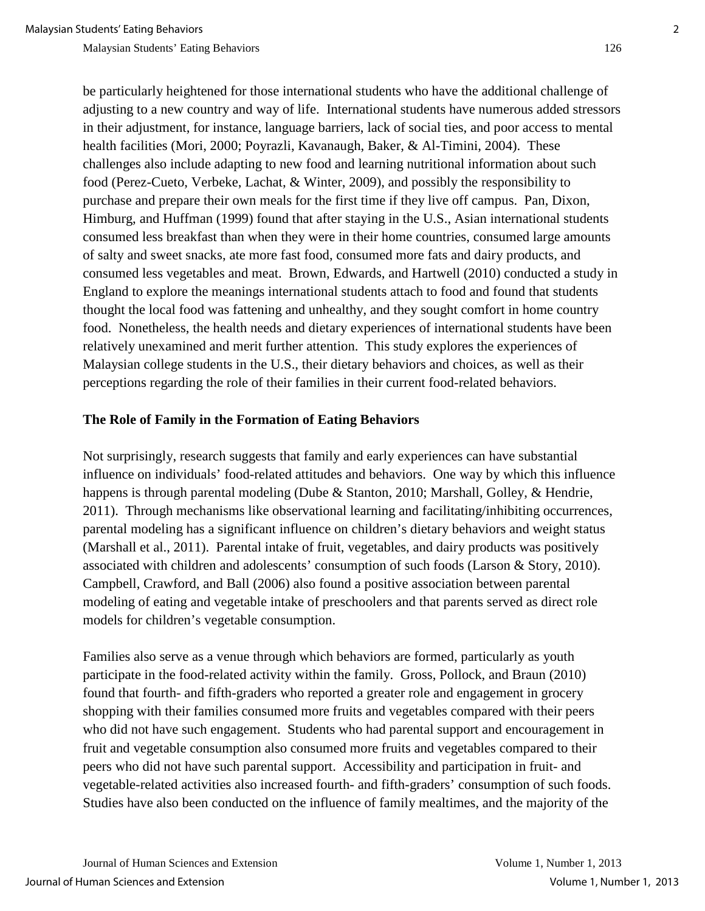be particularly heightened for those international students who have the additional challenge of adjusting to a new country and way of life. International students have numerous added stressors in their adjustment, for instance, language barriers, lack of social ties, and poor access to mental health facilities (Mori, 2000; Poyrazli, Kavanaugh, Baker, & Al-Timini, 2004). These challenges also include adapting to new food and learning nutritional information about such food (Perez-Cueto, Verbeke, Lachat, & Winter, 2009), and possibly the responsibility to purchase and prepare their own meals for the first time if they live off campus. Pan, Dixon, Himburg, and Huffman (1999) found that after staying in the U.S., Asian international students consumed less breakfast than when they were in their home countries, consumed large amounts of salty and sweet snacks, ate more fast food, consumed more fats and dairy products, and consumed less vegetables and meat. Brown, Edwards, and Hartwell (2010) conducted a study in England to explore the meanings international students attach to food and found that students thought the local food was fattening and unhealthy, and they sought comfort in home country food. Nonetheless, the health needs and dietary experiences of international students have been relatively unexamined and merit further attention. This study explores the experiences of Malaysian college students in the U.S., their dietary behaviors and choices, as well as their perceptions regarding the role of their families in their current food-related behaviors.

#### **The Role of Family in the Formation of Eating Behaviors**

Not surprisingly, research suggests that family and early experiences can have substantial influence on individuals' food-related attitudes and behaviors. One way by which this influence happens is through parental modeling (Dube & Stanton, 2010; Marshall, Golley, & Hendrie, 2011). Through mechanisms like observational learning and facilitating/inhibiting occurrences, parental modeling has a significant influence on children's dietary behaviors and weight status (Marshall et al., 2011). Parental intake of fruit, vegetables, and dairy products was positively associated with children and adolescents' consumption of such foods (Larson & Story, 2010). Campbell, Crawford, and Ball (2006) also found a positive association between parental modeling of eating and vegetable intake of preschoolers and that parents served as direct role models for children's vegetable consumption.

Families also serve as a venue through which behaviors are formed, particularly as youth participate in the food-related activity within the family. Gross, Pollock, and Braun (2010) found that fourth- and fifth-graders who reported a greater role and engagement in grocery shopping with their families consumed more fruits and vegetables compared with their peers who did not have such engagement. Students who had parental support and encouragement in fruit and vegetable consumption also consumed more fruits and vegetables compared to their peers who did not have such parental support. Accessibility and participation in fruit- and vegetable-related activities also increased fourth- and fifth-graders' consumption of such foods. Studies have also been conducted on the influence of family mealtimes, and the majority of the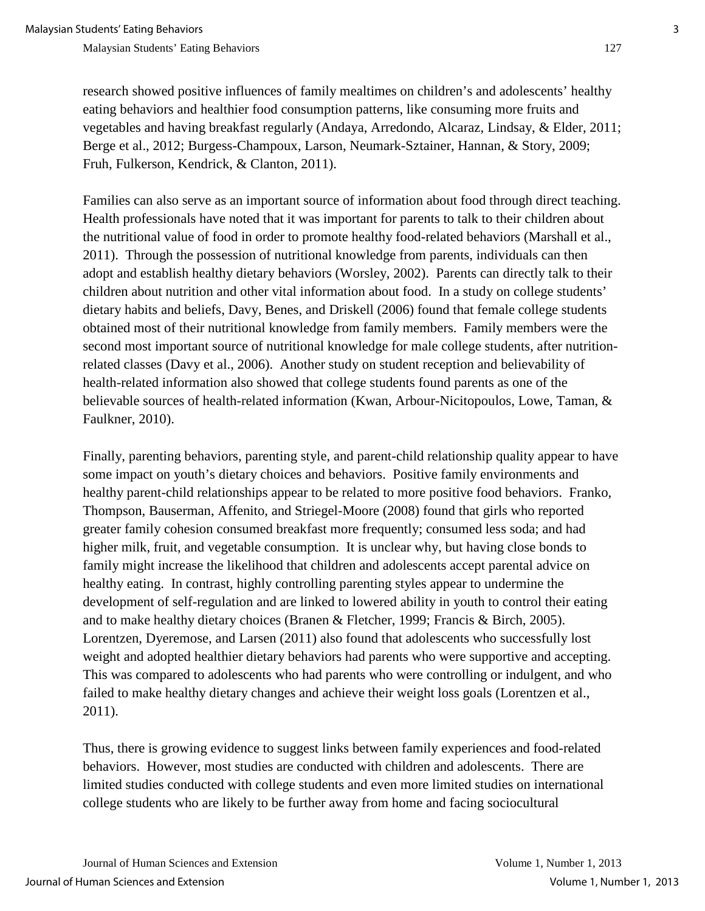research showed positive influences of family mealtimes on children's and adolescents' healthy eating behaviors and healthier food consumption patterns, like consuming more fruits and vegetables and having breakfast regularly (Andaya, Arredondo, Alcaraz, Lindsay, & Elder, 2011; Berge et al., 2012; Burgess-Champoux, Larson, Neumark-Sztainer, Hannan, & Story, 2009; Fruh, Fulkerson, Kendrick, & Clanton, 2011).

Families can also serve as an important source of information about food through direct teaching. Health professionals have noted that it was important for parents to talk to their children about the nutritional value of food in order to promote healthy food-related behaviors (Marshall et al., 2011). Through the possession of nutritional knowledge from parents, individuals can then adopt and establish healthy dietary behaviors (Worsley, 2002). Parents can directly talk to their children about nutrition and other vital information about food. In a study on college students' dietary habits and beliefs, Davy, Benes, and Driskell (2006) found that female college students obtained most of their nutritional knowledge from family members. Family members were the second most important source of nutritional knowledge for male college students, after nutritionrelated classes (Davy et al., 2006). Another study on student reception and believability of health-related information also showed that college students found parents as one of the believable sources of health-related information (Kwan, Arbour-Nicitopoulos, Lowe, Taman, & Faulkner, 2010).

Finally, parenting behaviors, parenting style, and parent-child relationship quality appear to have some impact on youth's dietary choices and behaviors. Positive family environments and healthy parent-child relationships appear to be related to more positive food behaviors. Franko, Thompson, Bauserman, Affenito, and Striegel-Moore (2008) found that girls who reported greater family cohesion consumed breakfast more frequently; consumed less soda; and had higher milk, fruit, and vegetable consumption. It is unclear why, but having close bonds to family might increase the likelihood that children and adolescents accept parental advice on healthy eating. In contrast, highly controlling parenting styles appear to undermine the development of self-regulation and are linked to lowered ability in youth to control their eating and to make healthy dietary choices (Branen & Fletcher, 1999; Francis & Birch, 2005). Lorentzen, Dyeremose, and Larsen (2011) also found that adolescents who successfully lost weight and adopted healthier dietary behaviors had parents who were supportive and accepting. This was compared to adolescents who had parents who were controlling or indulgent, and who failed to make healthy dietary changes and achieve their weight loss goals (Lorentzen et al., 2011).

Thus, there is growing evidence to suggest links between family experiences and food-related behaviors. However, most studies are conducted with children and adolescents. There are limited studies conducted with college students and even more limited studies on international college students who are likely to be further away from home and facing sociocultural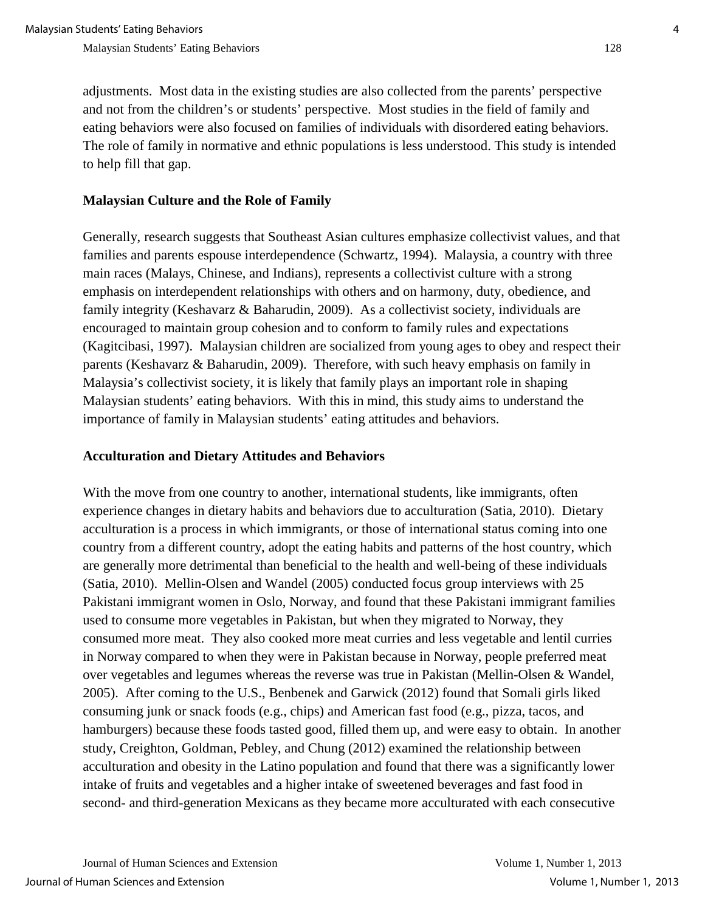adjustments. Most data in the existing studies are also collected from the parents' perspective and not from the children's or students' perspective. Most studies in the field of family and eating behaviors were also focused on families of individuals with disordered eating behaviors. The role of family in normative and ethnic populations is less understood. This study is intended to help fill that gap.

## **Malaysian Culture and the Role of Family**

Generally, research suggests that Southeast Asian cultures emphasize collectivist values, and that families and parents espouse interdependence (Schwartz, 1994). Malaysia, a country with three main races (Malays, Chinese, and Indians), represents a collectivist culture with a strong emphasis on interdependent relationships with others and on harmony, duty, obedience, and family integrity (Keshavarz & Baharudin, 2009). As a collectivist society, individuals are encouraged to maintain group cohesion and to conform to family rules and expectations (Kagitcibasi, 1997). Malaysian children are socialized from young ages to obey and respect their parents (Keshavarz & Baharudin, 2009). Therefore, with such heavy emphasis on family in Malaysia's collectivist society, it is likely that family plays an important role in shaping Malaysian students' eating behaviors. With this in mind, this study aims to understand the importance of family in Malaysian students' eating attitudes and behaviors.

## **Acculturation and Dietary Attitudes and Behaviors**

With the move from one country to another, international students, like immigrants, often experience changes in dietary habits and behaviors due to acculturation (Satia, 2010). Dietary acculturation is a process in which immigrants, or those of international status coming into one country from a different country, adopt the eating habits and patterns of the host country, which are generally more detrimental than beneficial to the health and well-being of these individuals (Satia, 2010). Mellin-Olsen and Wandel (2005) conducted focus group interviews with 25 Pakistani immigrant women in Oslo, Norway, and found that these Pakistani immigrant families used to consume more vegetables in Pakistan, but when they migrated to Norway, they consumed more meat. They also cooked more meat curries and less vegetable and lentil curries in Norway compared to when they were in Pakistan because in Norway, people preferred meat over vegetables and legumes whereas the reverse was true in Pakistan (Mellin-Olsen & Wandel, 2005). After coming to the U.S., Benbenek and Garwick (2012) found that Somali girls liked consuming junk or snack foods (e.g., chips) and American fast food (e.g., pizza, tacos, and hamburgers) because these foods tasted good, filled them up, and were easy to obtain. In another study, Creighton, Goldman, Pebley, and Chung (2012) examined the relationship between acculturation and obesity in the Latino population and found that there was a significantly lower intake of fruits and vegetables and a higher intake of sweetened beverages and fast food in second- and third-generation Mexicans as they became more acculturated with each consecutive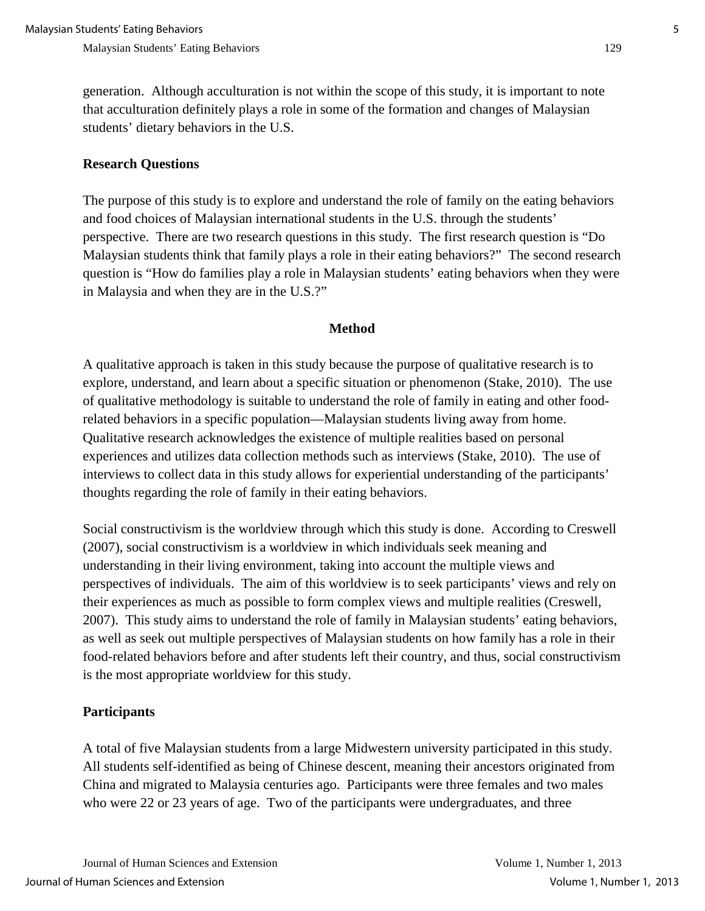generation. Although acculturation is not within the scope of this study, it is important to note that acculturation definitely plays a role in some of the formation and changes of Malaysian students' dietary behaviors in the U.S.

## **Research Questions**

The purpose of this study is to explore and understand the role of family on the eating behaviors and food choices of Malaysian international students in the U.S. through the students' perspective. There are two research questions in this study. The first research question is "Do Malaysian students think that family plays a role in their eating behaviors?" The second research question is "How do families play a role in Malaysian students' eating behaviors when they were in Malaysia and when they are in the U.S.?"

#### **Method**

A qualitative approach is taken in this study because the purpose of qualitative research is to explore, understand, and learn about a specific situation or phenomenon (Stake, 2010). The use of qualitative methodology is suitable to understand the role of family in eating and other foodrelated behaviors in a specific population—Malaysian students living away from home. Qualitative research acknowledges the existence of multiple realities based on personal experiences and utilizes data collection methods such as interviews (Stake, 2010). The use of interviews to collect data in this study allows for experiential understanding of the participants' thoughts regarding the role of family in their eating behaviors.

Social constructivism is the worldview through which this study is done. According to Creswell (2007), social constructivism is a worldview in which individuals seek meaning and understanding in their living environment, taking into account the multiple views and perspectives of individuals. The aim of this worldview is to seek participants' views and rely on their experiences as much as possible to form complex views and multiple realities (Creswell, 2007). This study aims to understand the role of family in Malaysian students' eating behaviors, as well as seek out multiple perspectives of Malaysian students on how family has a role in their food-related behaviors before and after students left their country, and thus, social constructivism is the most appropriate worldview for this study.

## **Participants**

A total of five Malaysian students from a large Midwestern university participated in this study. All students self-identified as being of Chinese descent, meaning their ancestors originated from China and migrated to Malaysia centuries ago. Participants were three females and two males who were 22 or 23 years of age. Two of the participants were undergraduates, and three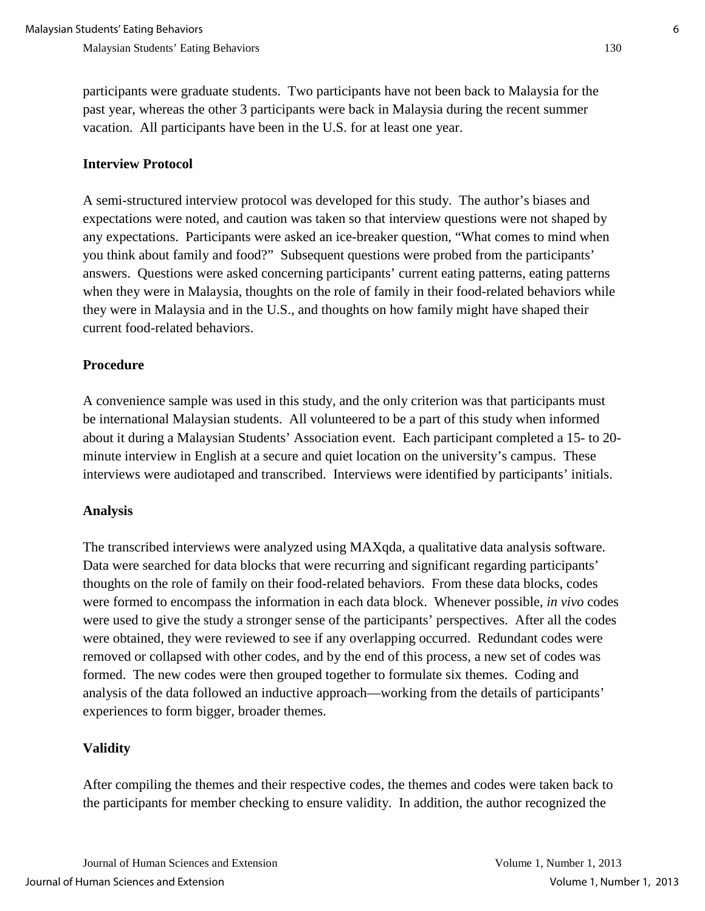participants were graduate students. Two participants have not been back to Malaysia for the past year, whereas the other 3 participants were back in Malaysia during the recent summer vacation. All participants have been in the U.S. for at least one year.

## **Interview Protocol**

A semi-structured interview protocol was developed for this study. The author's biases and expectations were noted, and caution was taken so that interview questions were not shaped by any expectations. Participants were asked an ice-breaker question, "What comes to mind when you think about family and food?" Subsequent questions were probed from the participants' answers. Questions were asked concerning participants' current eating patterns, eating patterns when they were in Malaysia, thoughts on the role of family in their food-related behaviors while they were in Malaysia and in the U.S., and thoughts on how family might have shaped their current food-related behaviors.

#### **Procedure**

A convenience sample was used in this study, and the only criterion was that participants must be international Malaysian students. All volunteered to be a part of this study when informed about it during a Malaysian Students' Association event. Each participant completed a 15- to 20 minute interview in English at a secure and quiet location on the university's campus. These interviews were audiotaped and transcribed. Interviews were identified by participants' initials.

#### **Analysis**

The transcribed interviews were analyzed using MAXqda, a qualitative data analysis software. Data were searched for data blocks that were recurring and significant regarding participants' thoughts on the role of family on their food-related behaviors. From these data blocks, codes were formed to encompass the information in each data block. Whenever possible, *in vivo* codes were used to give the study a stronger sense of the participants' perspectives. After all the codes were obtained, they were reviewed to see if any overlapping occurred. Redundant codes were removed or collapsed with other codes, and by the end of this process, a new set of codes was formed. The new codes were then grouped together to formulate six themes. Coding and analysis of the data followed an inductive approach—working from the details of participants' experiences to form bigger, broader themes.

#### **Validity**

After compiling the themes and their respective codes, the themes and codes were taken back to the participants for member checking to ensure validity. In addition, the author recognized the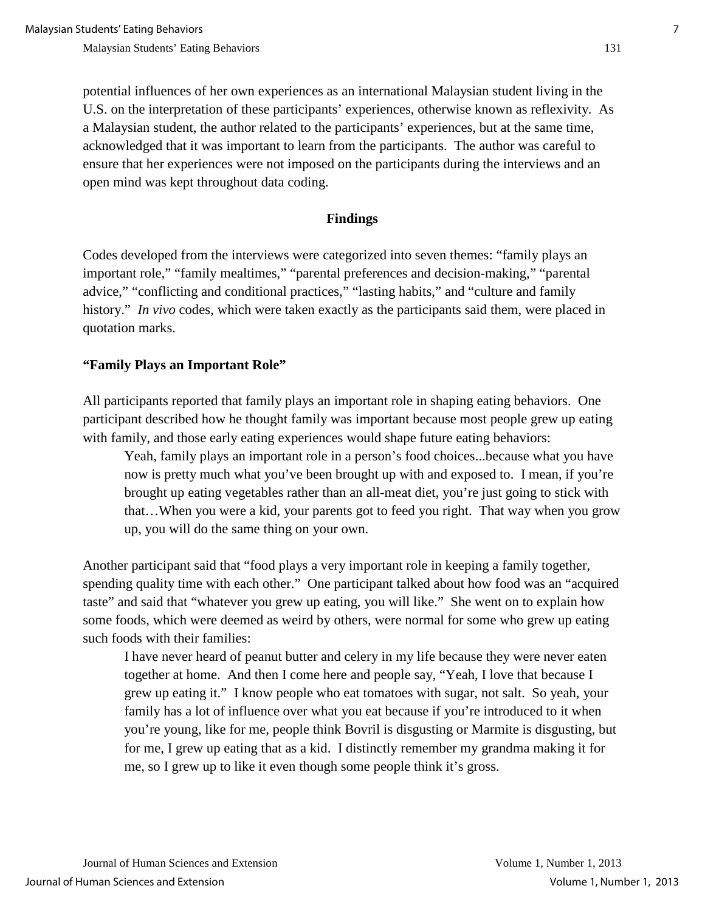potential influences of her own experiences as an international Malaysian student living in the U.S. on the interpretation of these participants' experiences, otherwise known as reflexivity. As a Malaysian student, the author related to the participants' experiences, but at the same time, acknowledged that it was important to learn from the participants. The author was careful to ensure that her experiences were not imposed on the participants during the interviews and an open mind was kept throughout data coding.

#### **Findings**

Codes developed from the interviews were categorized into seven themes: "family plays an important role," "family mealtimes," "parental preferences and decision-making," "parental advice," "conflicting and conditional practices," "lasting habits," and "culture and family history." *In vivo* codes, which were taken exactly as the participants said them, were placed in quotation marks.

#### **"Family Plays an Important Role"**

All participants reported that family plays an important role in shaping eating behaviors. One participant described how he thought family was important because most people grew up eating with family, and those early eating experiences would shape future eating behaviors:

Yeah, family plays an important role in a person's food choices...because what you have now is pretty much what you've been brought up with and exposed to. I mean, if you're brought up eating vegetables rather than an all-meat diet, you're just going to stick with that…When you were a kid, your parents got to feed you right. That way when you grow up, you will do the same thing on your own.

Another participant said that "food plays a very important role in keeping a family together, spending quality time with each other." One participant talked about how food was an "acquired taste" and said that "whatever you grew up eating, you will like." She went on to explain how some foods, which were deemed as weird by others, were normal for some who grew up eating such foods with their families:

I have never heard of peanut butter and celery in my life because they were never eaten together at home. And then I come here and people say, "Yeah, I love that because I grew up eating it." I know people who eat tomatoes with sugar, not salt. So yeah, your family has a lot of influence over what you eat because if you're introduced to it when you're young, like for me, people think Bovril is disgusting or Marmite is disgusting, but for me, I grew up eating that as a kid. I distinctly remember my grandma making it for me, so I grew up to like it even though some people think it's gross.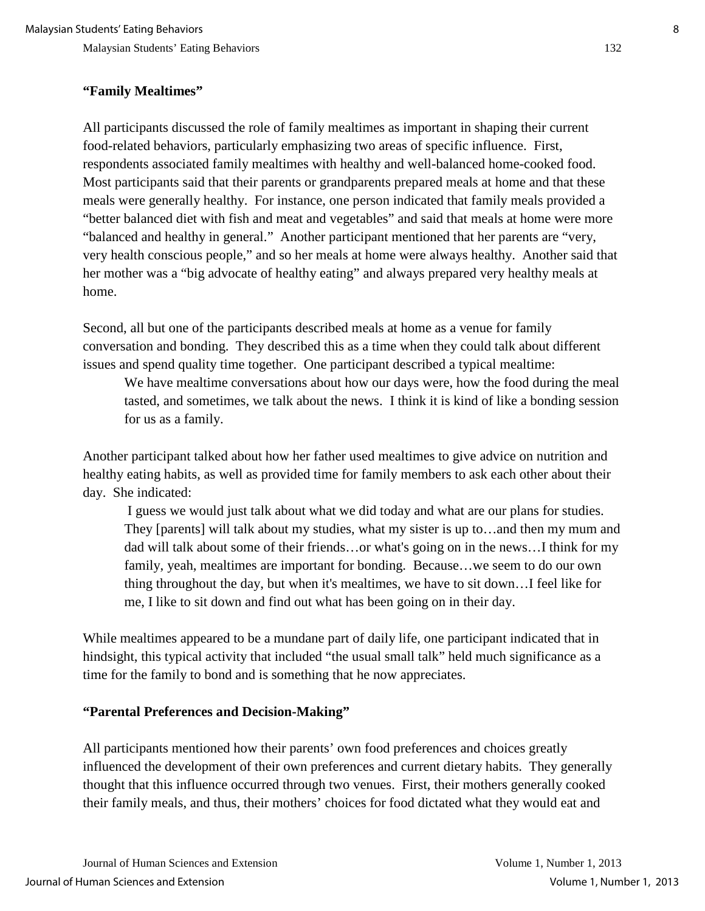## **"Family Mealtimes"**

All participants discussed the role of family mealtimes as important in shaping their current food-related behaviors, particularly emphasizing two areas of specific influence. First, respondents associated family mealtimes with healthy and well-balanced home-cooked food. Most participants said that their parents or grandparents prepared meals at home and that these meals were generally healthy. For instance, one person indicated that family meals provided a "better balanced diet with fish and meat and vegetables" and said that meals at home were more "balanced and healthy in general." Another participant mentioned that her parents are "very, very health conscious people," and so her meals at home were always healthy. Another said that her mother was a "big advocate of healthy eating" and always prepared very healthy meals at home.

Second, all but one of the participants described meals at home as a venue for family conversation and bonding. They described this as a time when they could talk about different issues and spend quality time together. One participant described a typical mealtime:

We have mealtime conversations about how our days were, how the food during the meal tasted, and sometimes, we talk about the news. I think it is kind of like a bonding session for us as a family.

Another participant talked about how her father used mealtimes to give advice on nutrition and healthy eating habits, as well as provided time for family members to ask each other about their day. She indicated:

I guess we would just talk about what we did today and what are our plans for studies. They [parents] will talk about my studies, what my sister is up to…and then my mum and dad will talk about some of their friends…or what's going on in the news…I think for my family, yeah, mealtimes are important for bonding. Because…we seem to do our own thing throughout the day, but when it's mealtimes, we have to sit down…I feel like for me, I like to sit down and find out what has been going on in their day.

While mealtimes appeared to be a mundane part of daily life, one participant indicated that in hindsight, this typical activity that included "the usual small talk" held much significance as a time for the family to bond and is something that he now appreciates.

#### **"Parental Preferences and Decision-Making"**

All participants mentioned how their parents' own food preferences and choices greatly influenced the development of their own preferences and current dietary habits. They generally thought that this influence occurred through two venues. First, their mothers generally cooked their family meals, and thus, their mothers' choices for food dictated what they would eat and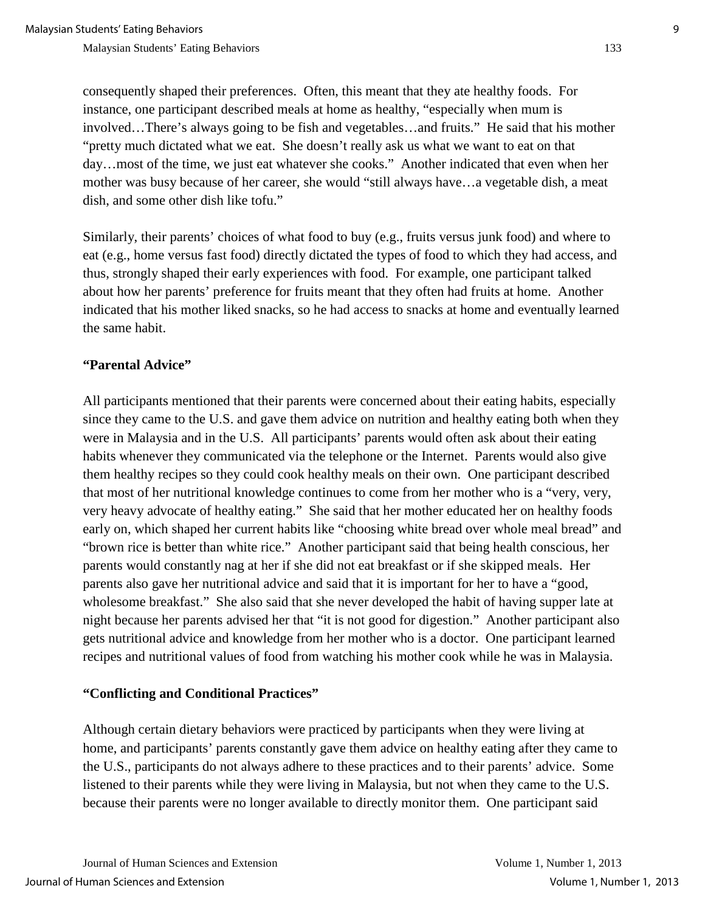consequently shaped their preferences. Often, this meant that they ate healthy foods. For instance, one participant described meals at home as healthy, "especially when mum is involved…There's always going to be fish and vegetables…and fruits." He said that his mother "pretty much dictated what we eat. She doesn't really ask us what we want to eat on that day…most of the time, we just eat whatever she cooks." Another indicated that even when her mother was busy because of her career, she would "still always have…a vegetable dish, a meat dish, and some other dish like tofu."

Similarly, their parents' choices of what food to buy (e.g., fruits versus junk food) and where to eat (e.g., home versus fast food) directly dictated the types of food to which they had access, and thus, strongly shaped their early experiences with food. For example, one participant talked about how her parents' preference for fruits meant that they often had fruits at home. Another indicated that his mother liked snacks, so he had access to snacks at home and eventually learned the same habit.

#### **"Parental Advice"**

All participants mentioned that their parents were concerned about their eating habits, especially since they came to the U.S. and gave them advice on nutrition and healthy eating both when they were in Malaysia and in the U.S. All participants' parents would often ask about their eating habits whenever they communicated via the telephone or the Internet. Parents would also give them healthy recipes so they could cook healthy meals on their own. One participant described that most of her nutritional knowledge continues to come from her mother who is a "very, very, very heavy advocate of healthy eating." She said that her mother educated her on healthy foods early on, which shaped her current habits like "choosing white bread over whole meal bread" and "brown rice is better than white rice." Another participant said that being health conscious, her parents would constantly nag at her if she did not eat breakfast or if she skipped meals. Her parents also gave her nutritional advice and said that it is important for her to have a "good, wholesome breakfast." She also said that she never developed the habit of having supper late at night because her parents advised her that "it is not good for digestion." Another participant also gets nutritional advice and knowledge from her mother who is a doctor. One participant learned recipes and nutritional values of food from watching his mother cook while he was in Malaysia.

#### **"Conflicting and Conditional Practices"**

Although certain dietary behaviors were practiced by participants when they were living at home, and participants' parents constantly gave them advice on healthy eating after they came to the U.S., participants do not always adhere to these practices and to their parents' advice. Some listened to their parents while they were living in Malaysia, but not when they came to the U.S. because their parents were no longer available to directly monitor them. One participant said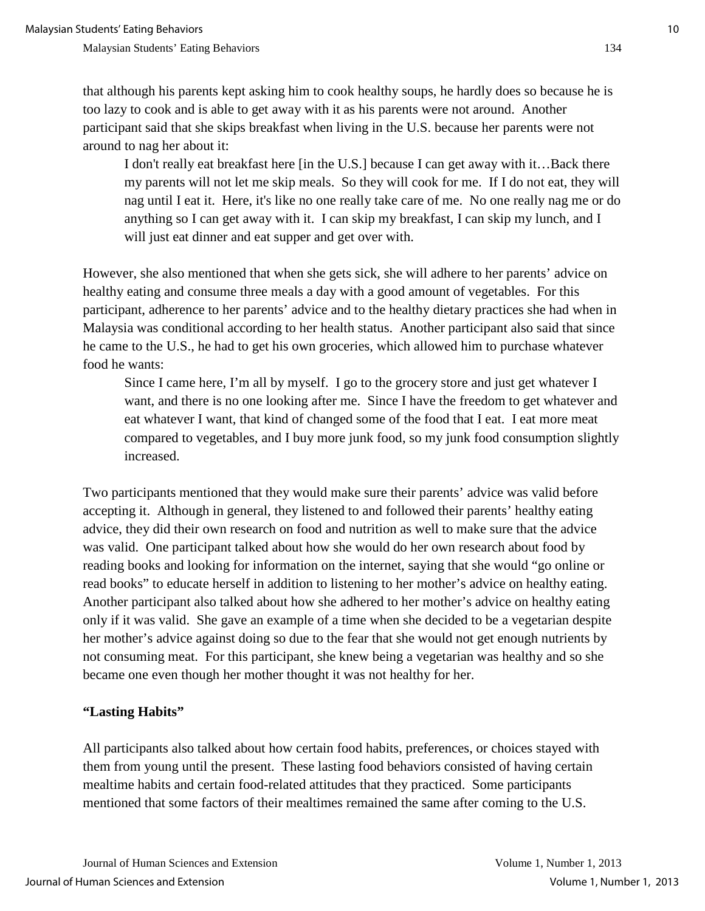that although his parents kept asking him to cook healthy soups, he hardly does so because he is too lazy to cook and is able to get away with it as his parents were not around. Another participant said that she skips breakfast when living in the U.S. because her parents were not around to nag her about it:

I don't really eat breakfast here [in the U.S.] because I can get away with it…Back there my parents will not let me skip meals. So they will cook for me. If I do not eat, they will nag until I eat it. Here, it's like no one really take care of me. No one really nag me or do anything so I can get away with it. I can skip my breakfast, I can skip my lunch, and I will just eat dinner and eat supper and get over with.

However, she also mentioned that when she gets sick, she will adhere to her parents' advice on healthy eating and consume three meals a day with a good amount of vegetables. For this participant, adherence to her parents' advice and to the healthy dietary practices she had when in Malaysia was conditional according to her health status. Another participant also said that since he came to the U.S., he had to get his own groceries, which allowed him to purchase whatever food he wants:

Since I came here, I'm all by myself. I go to the grocery store and just get whatever I want, and there is no one looking after me. Since I have the freedom to get whatever and eat whatever I want, that kind of changed some of the food that I eat. I eat more meat compared to vegetables, and I buy more junk food, so my junk food consumption slightly increased.

Two participants mentioned that they would make sure their parents' advice was valid before accepting it. Although in general, they listened to and followed their parents' healthy eating advice, they did their own research on food and nutrition as well to make sure that the advice was valid. One participant talked about how she would do her own research about food by reading books and looking for information on the internet, saying that she would "go online or read books" to educate herself in addition to listening to her mother's advice on healthy eating. Another participant also talked about how she adhered to her mother's advice on healthy eating only if it was valid. She gave an example of a time when she decided to be a vegetarian despite her mother's advice against doing so due to the fear that she would not get enough nutrients by not consuming meat. For this participant, she knew being a vegetarian was healthy and so she became one even though her mother thought it was not healthy for her.

#### **"Lasting Habits"**

All participants also talked about how certain food habits, preferences, or choices stayed with them from young until the present. These lasting food behaviors consisted of having certain mealtime habits and certain food-related attitudes that they practiced. Some participants mentioned that some factors of their mealtimes remained the same after coming to the U.S.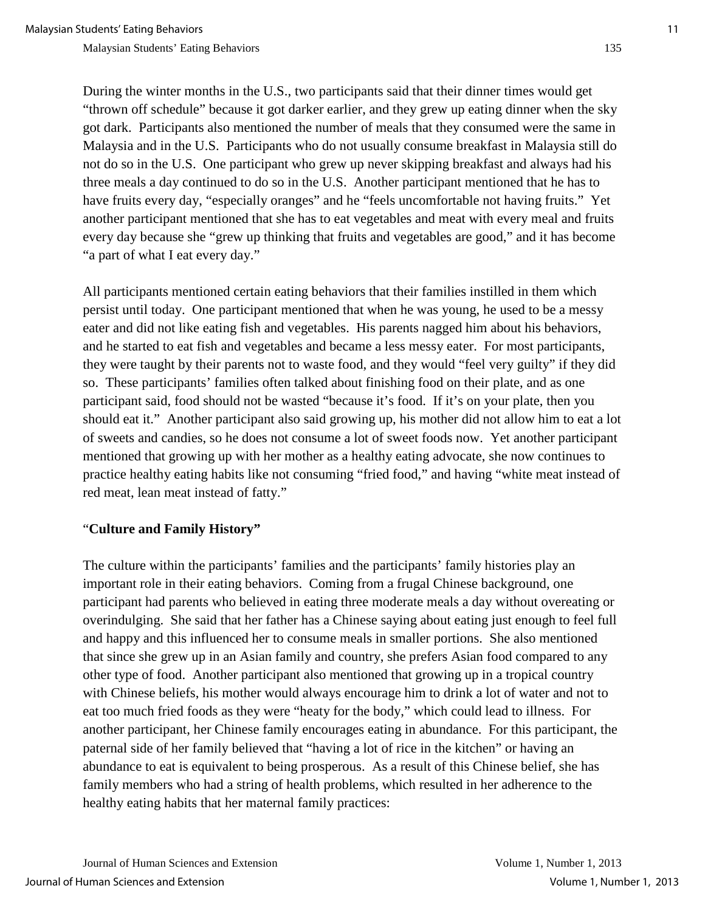During the winter months in the U.S., two participants said that their dinner times would get "thrown off schedule" because it got darker earlier, and they grew up eating dinner when the sky got dark. Participants also mentioned the number of meals that they consumed were the same in Malaysia and in the U.S. Participants who do not usually consume breakfast in Malaysia still do not do so in the U.S. One participant who grew up never skipping breakfast and always had his three meals a day continued to do so in the U.S. Another participant mentioned that he has to have fruits every day, "especially oranges" and he "feels uncomfortable not having fruits." Yet another participant mentioned that she has to eat vegetables and meat with every meal and fruits every day because she "grew up thinking that fruits and vegetables are good," and it has become "a part of what I eat every day."

All participants mentioned certain eating behaviors that their families instilled in them which persist until today. One participant mentioned that when he was young, he used to be a messy eater and did not like eating fish and vegetables. His parents nagged him about his behaviors, and he started to eat fish and vegetables and became a less messy eater. For most participants, they were taught by their parents not to waste food, and they would "feel very guilty" if they did so. These participants' families often talked about finishing food on their plate, and as one participant said, food should not be wasted "because it's food. If it's on your plate, then you should eat it." Another participant also said growing up, his mother did not allow him to eat a lot of sweets and candies, so he does not consume a lot of sweet foods now. Yet another participant mentioned that growing up with her mother as a healthy eating advocate, she now continues to practice healthy eating habits like not consuming "fried food," and having "white meat instead of red meat, lean meat instead of fatty."

#### "**Culture and Family History"**

The culture within the participants' families and the participants' family histories play an important role in their eating behaviors. Coming from a frugal Chinese background, one participant had parents who believed in eating three moderate meals a day without overeating or overindulging. She said that her father has a Chinese saying about eating just enough to feel full and happy and this influenced her to consume meals in smaller portions. She also mentioned that since she grew up in an Asian family and country, she prefers Asian food compared to any other type of food. Another participant also mentioned that growing up in a tropical country with Chinese beliefs, his mother would always encourage him to drink a lot of water and not to eat too much fried foods as they were "heaty for the body," which could lead to illness. For another participant, her Chinese family encourages eating in abundance. For this participant, the paternal side of her family believed that "having a lot of rice in the kitchen" or having an abundance to eat is equivalent to being prosperous. As a result of this Chinese belief, she has family members who had a string of health problems, which resulted in her adherence to the healthy eating habits that her maternal family practices: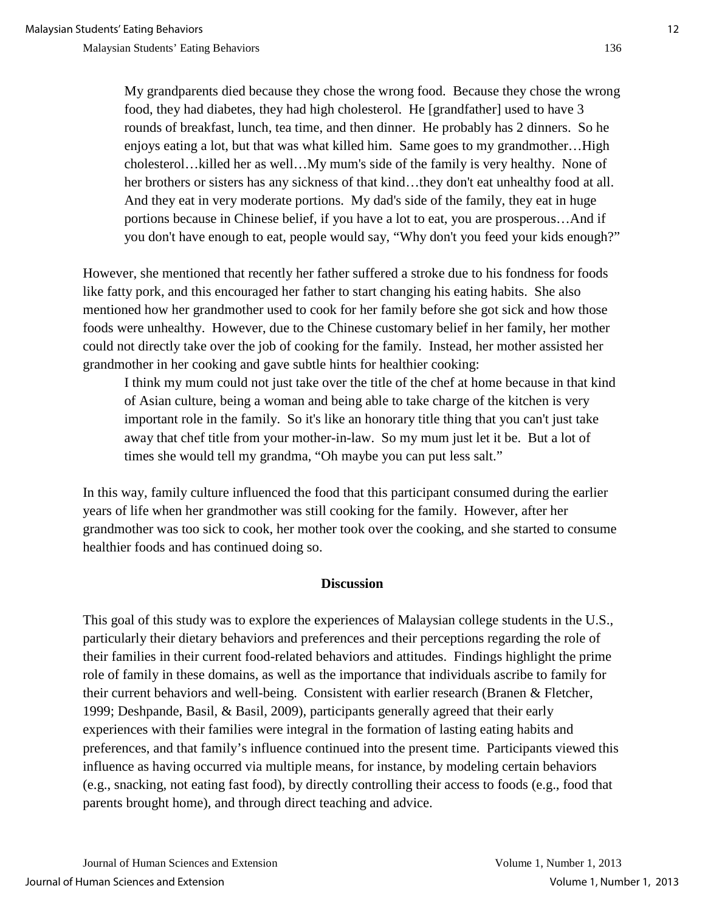My grandparents died because they chose the wrong food. Because they chose the wrong food, they had diabetes, they had high cholesterol. He [grandfather] used to have 3 rounds of breakfast, lunch, tea time, and then dinner. He probably has 2 dinners. So he enjoys eating a lot, but that was what killed him. Same goes to my grandmother…High cholesterol…killed her as well…My mum's side of the family is very healthy. None of her brothers or sisters has any sickness of that kind...they don't eat unhealthy food at all. And they eat in very moderate portions. My dad's side of the family, they eat in huge portions because in Chinese belief, if you have a lot to eat, you are prosperous…And if you don't have enough to eat, people would say, "Why don't you feed your kids enough?"

However, she mentioned that recently her father suffered a stroke due to his fondness for foods like fatty pork, and this encouraged her father to start changing his eating habits. She also mentioned how her grandmother used to cook for her family before she got sick and how those foods were unhealthy. However, due to the Chinese customary belief in her family, her mother could not directly take over the job of cooking for the family. Instead, her mother assisted her grandmother in her cooking and gave subtle hints for healthier cooking:

I think my mum could not just take over the title of the chef at home because in that kind of Asian culture, being a woman and being able to take charge of the kitchen is very important role in the family. So it's like an honorary title thing that you can't just take away that chef title from your mother-in-law. So my mum just let it be. But a lot of times she would tell my grandma, "Oh maybe you can put less salt."

In this way, family culture influenced the food that this participant consumed during the earlier years of life when her grandmother was still cooking for the family. However, after her grandmother was too sick to cook, her mother took over the cooking, and she started to consume healthier foods and has continued doing so.

## **Discussion**

This goal of this study was to explore the experiences of Malaysian college students in the U.S., particularly their dietary behaviors and preferences and their perceptions regarding the role of their families in their current food-related behaviors and attitudes. Findings highlight the prime role of family in these domains, as well as the importance that individuals ascribe to family for their current behaviors and well-being. Consistent with earlier research (Branen & Fletcher, 1999; Deshpande, Basil, & Basil, 2009), participants generally agreed that their early experiences with their families were integral in the formation of lasting eating habits and preferences, and that family's influence continued into the present time. Participants viewed this influence as having occurred via multiple means, for instance, by modeling certain behaviors (e.g., snacking, not eating fast food), by directly controlling their access to foods (e.g., food that parents brought home), and through direct teaching and advice.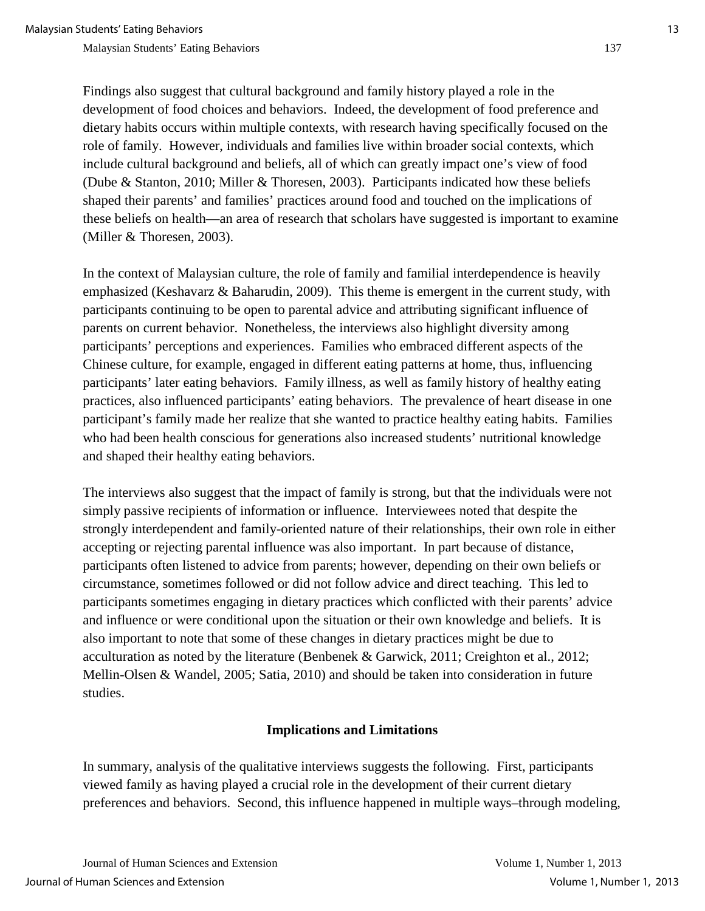Findings also suggest that cultural background and family history played a role in the development of food choices and behaviors. Indeed, the development of food preference and dietary habits occurs within multiple contexts, with research having specifically focused on the role of family. However, individuals and families live within broader social contexts, which include cultural background and beliefs, all of which can greatly impact one's view of food (Dube & Stanton, 2010; Miller & Thoresen, 2003). Participants indicated how these beliefs shaped their parents' and families' practices around food and touched on the implications of these beliefs on health—an area of research that scholars have suggested is important to examine (Miller & Thoresen, 2003).

In the context of Malaysian culture, the role of family and familial interdependence is heavily emphasized (Keshavarz & Baharudin, 2009). This theme is emergent in the current study, with participants continuing to be open to parental advice and attributing significant influence of parents on current behavior. Nonetheless, the interviews also highlight diversity among participants' perceptions and experiences. Families who embraced different aspects of the Chinese culture, for example, engaged in different eating patterns at home, thus, influencing participants' later eating behaviors. Family illness, as well as family history of healthy eating practices, also influenced participants' eating behaviors. The prevalence of heart disease in one participant's family made her realize that she wanted to practice healthy eating habits. Families who had been health conscious for generations also increased students' nutritional knowledge and shaped their healthy eating behaviors.

The interviews also suggest that the impact of family is strong, but that the individuals were not simply passive recipients of information or influence. Interviewees noted that despite the strongly interdependent and family-oriented nature of their relationships, their own role in either accepting or rejecting parental influence was also important. In part because of distance, participants often listened to advice from parents; however, depending on their own beliefs or circumstance, sometimes followed or did not follow advice and direct teaching. This led to participants sometimes engaging in dietary practices which conflicted with their parents' advice and influence or were conditional upon the situation or their own knowledge and beliefs. It is also important to note that some of these changes in dietary practices might be due to acculturation as noted by the literature (Benbenek & Garwick, 2011; Creighton et al., 2012; Mellin-Olsen & Wandel, 2005; Satia, 2010) and should be taken into consideration in future studies.

#### **Implications and Limitations**

In summary, analysis of the qualitative interviews suggests the following. First, participants viewed family as having played a crucial role in the development of their current dietary preferences and behaviors. Second, this influence happened in multiple ways–through modeling,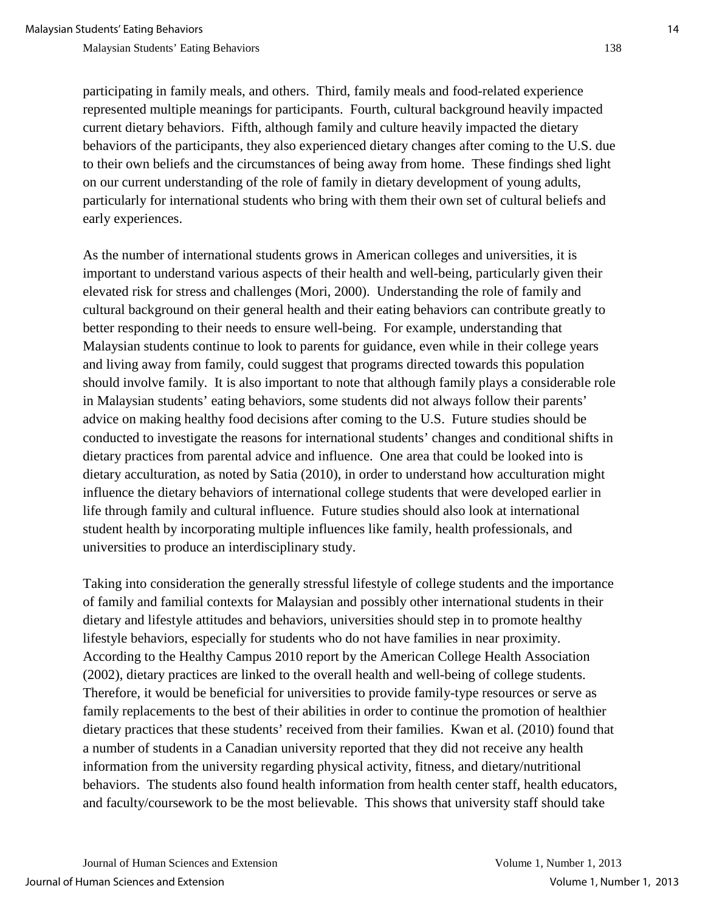participating in family meals, and others. Third, family meals and food-related experience represented multiple meanings for participants. Fourth, cultural background heavily impacted current dietary behaviors. Fifth, although family and culture heavily impacted the dietary behaviors of the participants, they also experienced dietary changes after coming to the U.S. due to their own beliefs and the circumstances of being away from home. These findings shed light on our current understanding of the role of family in dietary development of young adults, particularly for international students who bring with them their own set of cultural beliefs and early experiences.

As the number of international students grows in American colleges and universities, it is important to understand various aspects of their health and well-being, particularly given their elevated risk for stress and challenges (Mori, 2000). Understanding the role of family and cultural background on their general health and their eating behaviors can contribute greatly to better responding to their needs to ensure well-being. For example, understanding that Malaysian students continue to look to parents for guidance, even while in their college years and living away from family, could suggest that programs directed towards this population should involve family. It is also important to note that although family plays a considerable role in Malaysian students' eating behaviors, some students did not always follow their parents' advice on making healthy food decisions after coming to the U.S. Future studies should be conducted to investigate the reasons for international students' changes and conditional shifts in dietary practices from parental advice and influence. One area that could be looked into is dietary acculturation, as noted by Satia (2010), in order to understand how acculturation might influence the dietary behaviors of international college students that were developed earlier in life through family and cultural influence. Future studies should also look at international student health by incorporating multiple influences like family, health professionals, and universities to produce an interdisciplinary study.

Taking into consideration the generally stressful lifestyle of college students and the importance of family and familial contexts for Malaysian and possibly other international students in their dietary and lifestyle attitudes and behaviors, universities should step in to promote healthy lifestyle behaviors, especially for students who do not have families in near proximity. According to the Healthy Campus 2010 report by the American College Health Association (2002), dietary practices are linked to the overall health and well-being of college students. Therefore, it would be beneficial for universities to provide family-type resources or serve as family replacements to the best of their abilities in order to continue the promotion of healthier dietary practices that these students' received from their families. Kwan et al. (2010) found that a number of students in a Canadian university reported that they did not receive any health information from the university regarding physical activity, fitness, and dietary/nutritional behaviors. The students also found health information from health center staff, health educators, and faculty/coursework to be the most believable. This shows that university staff should take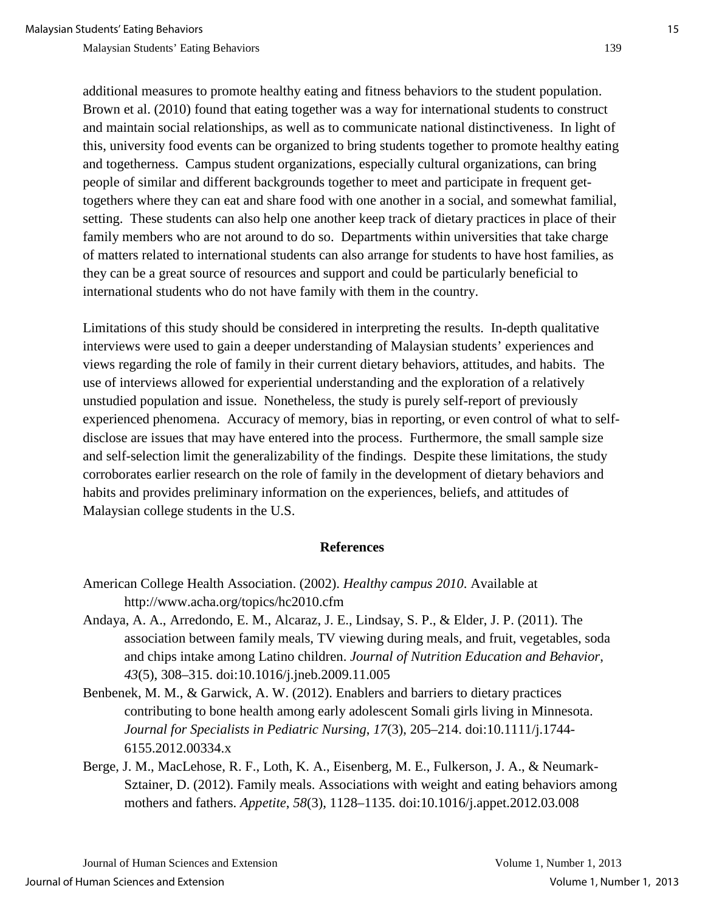additional measures to promote healthy eating and fitness behaviors to the student population. Brown et al. (2010) found that eating together was a way for international students to construct and maintain social relationships, as well as to communicate national distinctiveness. In light of this, university food events can be organized to bring students together to promote healthy eating and togetherness. Campus student organizations, especially cultural organizations, can bring people of similar and different backgrounds together to meet and participate in frequent gettogethers where they can eat and share food with one another in a social, and somewhat familial, setting. These students can also help one another keep track of dietary practices in place of their family members who are not around to do so. Departments within universities that take charge of matters related to international students can also arrange for students to have host families, as they can be a great source of resources and support and could be particularly beneficial to international students who do not have family with them in the country.

Limitations of this study should be considered in interpreting the results. In-depth qualitative interviews were used to gain a deeper understanding of Malaysian students' experiences and views regarding the role of family in their current dietary behaviors, attitudes, and habits. The use of interviews allowed for experiential understanding and the exploration of a relatively unstudied population and issue. Nonetheless, the study is purely self-report of previously experienced phenomena. Accuracy of memory, bias in reporting, or even control of what to selfdisclose are issues that may have entered into the process. Furthermore, the small sample size and self-selection limit the generalizability of the findings. Despite these limitations, the study corroborates earlier research on the role of family in the development of dietary behaviors and habits and provides preliminary information on the experiences, beliefs, and attitudes of Malaysian college students in the U.S.

#### **References**

- American College Health Association. (2002). *Healthy campus 2010*. Available at http://www.acha.org/topics/hc2010.cfm
- Andaya, A. A., Arredondo, E. M., Alcaraz, J. E., Lindsay, S. P., & Elder, J. P. (2011). The association between family meals, TV viewing during meals, and fruit, vegetables, soda and chips intake among Latino children. *Journal of Nutrition Education and Behavior*, *43*(5), 308–315. doi:10.1016/j.jneb.2009.11.005
- Benbenek, M. M., & Garwick, A. W. (2012). Enablers and barriers to dietary practices contributing to bone health among early adolescent Somali girls living in Minnesota. *Journal for Specialists in Pediatric Nursing*, *17*(3), 205–214. doi:10.1111/j.1744- 6155.2012.00334.x
- Berge, J. M., MacLehose, R. F., Loth, K. A., Eisenberg, M. E., Fulkerson, J. A., & Neumark-Sztainer, D. (2012). Family meals. Associations with weight and eating behaviors among mothers and fathers. *Appetite*, *58*(3), 1128–1135. doi:10.1016/j.appet.2012.03.008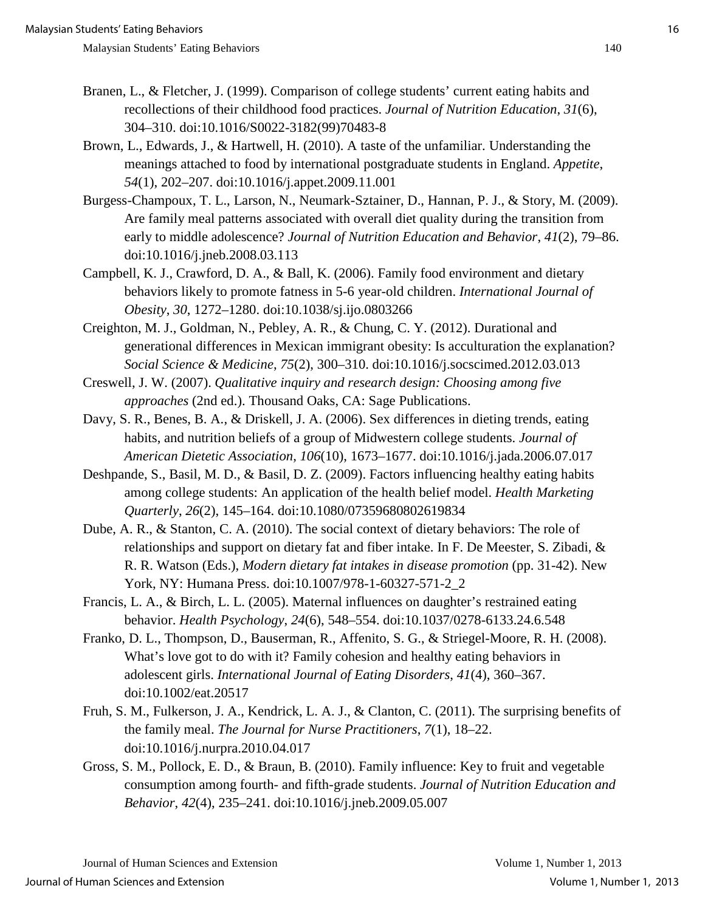- Branen, L., & Fletcher, J. (1999). Comparison of college students' current eating habits and recollections of their childhood food practices. *Journal of Nutrition Education*, *31*(6), 304–310. doi:10.1016/S0022-3182(99)70483-8
- Brown, L., Edwards, J., & Hartwell, H. (2010). A taste of the unfamiliar. Understanding the meanings attached to food by international postgraduate students in England. *Appetite*, *54*(1), 202–207. doi:10.1016/j.appet.2009.11.001
- Burgess-Champoux, T. L., Larson, N., Neumark-Sztainer, D., Hannan, P. J., & Story, M. (2009). Are family meal patterns associated with overall diet quality during the transition from early to middle adolescence? *Journal of Nutrition Education and Behavior*, *41*(2), 79–86. doi:10.1016/j.jneb.2008.03.113
- Campbell, K. J., Crawford, D. A., & Ball, K. (2006). Family food environment and dietary behaviors likely to promote fatness in 5-6 year-old children. *International Journal of Obesity*, *30*, 1272–1280. doi:10.1038/sj.ijo.0803266
- Creighton, M. J., Goldman, N., Pebley, A. R., & Chung, C. Y. (2012). Durational and generational differences in Mexican immigrant obesity: Is acculturation the explanation? *Social Science & Medicine*, *75*(2), 300–310. doi:10.1016/j.socscimed.2012.03.013
- Creswell, J. W. (2007). *Qualitative inquiry and research design: Choosing among five approaches* (2nd ed.). Thousand Oaks, CA: Sage Publications.
- Davy, S. R., Benes, B. A., & Driskell, J. A. (2006). Sex differences in dieting trends, eating habits, and nutrition beliefs of a group of Midwestern college students. *Journal of American Dietetic Association*, *106*(10), 1673–1677. doi:10.1016/j.jada.2006.07.017
- Deshpande, S., Basil, M. D., & Basil, D. Z. (2009). Factors influencing healthy eating habits among college students: An application of the health belief model. *Health Marketing Quarterly*, *26*(2), 145–164. doi:10.1080/07359680802619834
- Dube, A. R., & Stanton, C. A. (2010). The social context of dietary behaviors: The role of relationships and support on dietary fat and fiber intake. In F. De Meester, S. Zibadi, & R. R. Watson (Eds.), *Modern dietary fat intakes in disease promotion* (pp. 31-42). New York, NY: Humana Press. doi:10.1007/978-1-60327-571-2\_2
- Francis, L. A., & Birch, L. L. (2005). Maternal influences on daughter's restrained eating behavior. *Health Psychology*, *24*(6), 548–554. doi:10.1037/0278-6133.24.6.548
- Franko, D. L., Thompson, D., Bauserman, R., Affenito, S. G., & Striegel-Moore, R. H. (2008). What's love got to do with it? Family cohesion and healthy eating behaviors in adolescent girls. *International Journal of Eating Disorders*, *41*(4), 360–367. doi:10.1002/eat.20517
- Fruh, S. M., Fulkerson, J. A., Kendrick, L. A. J., & Clanton, C. (2011). The surprising benefits of the family meal. *The Journal for Nurse Practitioners*, *7*(1), 18–22. doi:10.1016/j.nurpra.2010.04.017
- Gross, S. M., Pollock, E. D., & Braun, B. (2010). Family influence: Key to fruit and vegetable consumption among fourth- and fifth-grade students. *Journal of Nutrition Education and Behavior*, *42*(4), 235–241. doi:10.1016/j.jneb.2009.05.007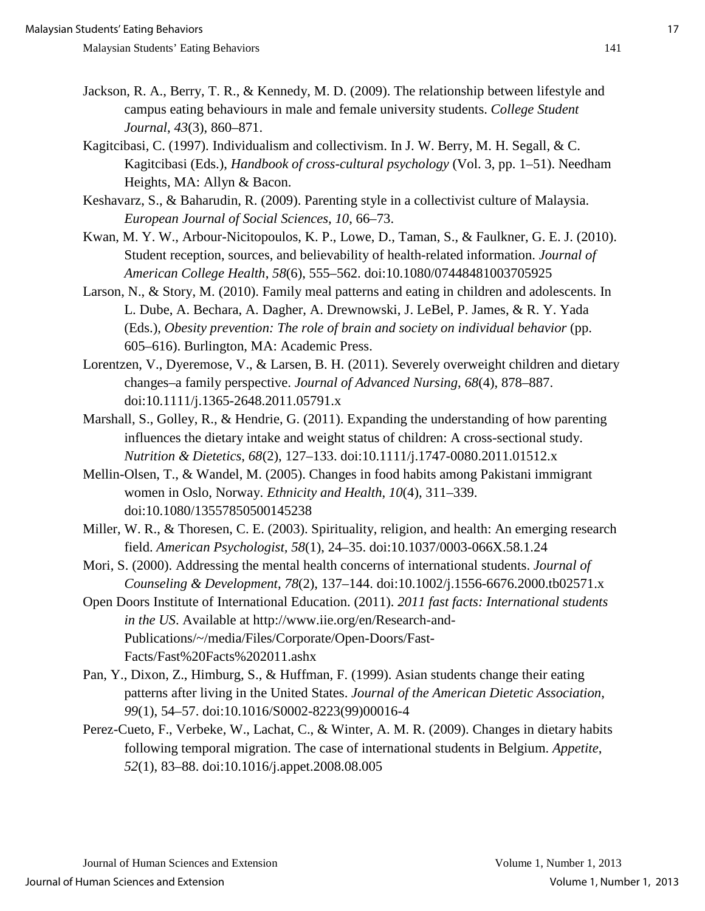- Jackson, R. A., Berry, T. R., & Kennedy, M. D. (2009). The relationship between lifestyle and campus eating behaviours in male and female university students. *College Student Journal*, *43*(3), 860–871.
- Kagitcibasi, C. (1997). Individualism and collectivism. In J. W. Berry, M. H. Segall, & C. Kagitcibasi (Eds.), *Handbook of cross-cultural psychology* (Vol. 3, pp. 1–51). Needham Heights, MA: Allyn & Bacon.
- Keshavarz, S., & Baharudin, R. (2009). Parenting style in a collectivist culture of Malaysia.  *European Journal of Social Sciences*, *10*, 66–73.
- Kwan, M. Y. W., Arbour-Nicitopoulos, K. P., Lowe, D., Taman, S., & Faulkner, G. E. J. (2010). Student reception, sources, and believability of health-related information. *Journal of American College Health*, *58*(6), 555–562. doi:10.1080/07448481003705925
- Larson, N., & Story, M. (2010). Family meal patterns and eating in children and adolescents. In L. Dube, A. Bechara, A. Dagher, A. Drewnowski, J. LeBel, P. James, & R. Y. Yada (Eds.), *Obesity prevention: The role of brain and society on individual behavior* (pp. 605–616). Burlington, MA: Academic Press.
- Lorentzen, V., Dyeremose, V., & Larsen, B. H. (2011). Severely overweight children and dietary changes–a family perspective. *Journal of Advanced Nursing*, *68*(4), 878–887. doi:10.1111/j.1365-2648.2011.05791.x
- Marshall, S., Golley, R., & Hendrie, G. (2011). Expanding the understanding of how parenting influences the dietary intake and weight status of children: A cross-sectional study. *Nutrition & Dietetics*, *68*(2), 127–133. doi:10.1111/j.1747-0080.2011.01512.x
- Mellin-Olsen, T., & Wandel, M. (2005). Changes in food habits among Pakistani immigrant women in Oslo, Norway. *Ethnicity and Health*, *10*(4), 311–339. doi:10.1080/13557850500145238
- Miller, W. R., & Thoresen, C. E. (2003). Spirituality, religion, and health: An emerging research field. *American Psychologist, 58*(1), 24–35. doi:10.1037/0003-066X.58.1.24
- Mori, S. (2000). Addressing the mental health concerns of international students. *Journal of Counseling & Development*, *78*(2), 137–144. doi:10.1002/j.1556-6676.2000.tb02571.x
- Open Doors Institute of International Education. (2011). *2011 fast facts: International students in the US*. Available at http://www.iie.org/en/Research-and-Publications/~/media/Files/Corporate/Open-Doors/Fast-Facts/Fast%20Facts%202011.ashx
- Pan, Y., Dixon, Z., Himburg, S., & Huffman, F. (1999). Asian students change their eating patterns after living in the United States. *Journal of the American Dietetic Association*,  *99*(1), 54–57. doi:10.1016/S0002-8223(99)00016-4
- Perez-Cueto, F., Verbeke, W., Lachat, C., & Winter, A. M. R. (2009). Changes in dietary habits following temporal migration. The case of international students in Belgium. *Appetite*, *52*(1), 83–88. doi:10.1016/j.appet.2008.08.005